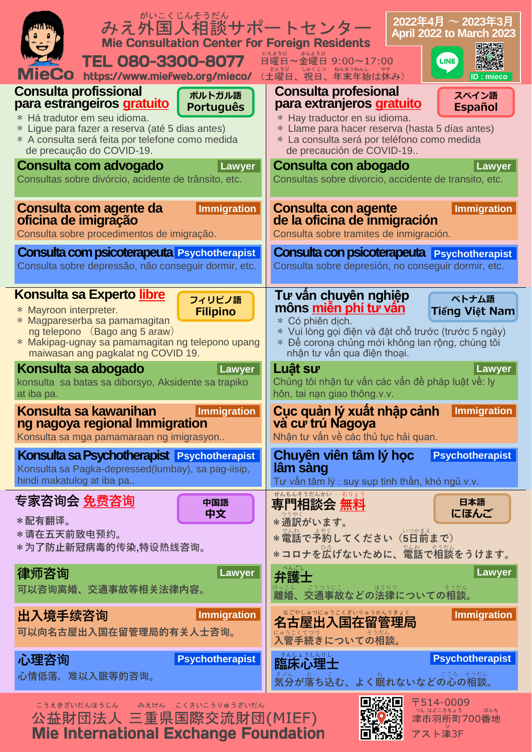| がいこくじんそうだん<br>みえ外国人相談サポートセンター<br><b>Mie Consultation Center for Foreign Residents</b>                                                       | $2022$ 年4月 $\sim$ 2023年3月<br>April 2022 to March 2023                                                                                           |
|---------------------------------------------------------------------------------------------------------------------------------------------|-------------------------------------------------------------------------------------------------------------------------------------------------|
| <b>TEL 080-3300-8077</b><br><b>MieCo</b><br>https://www.miefweb.org/mieco/                                                                  | 日曜日~金曜日 9:00~17:00<br><b>LINE</b><br><sub>こようび</sub> こ。ここっ ねんまつねんし やす<br>(土曜日、祝日、年末年始は休み)<br>ID : mieco                                         |
| <b>Consulta profissional</b>                                                                                                                | <b>Consulta profesional</b>                                                                                                                     |
| ポルトガル語                                                                                                                                      | スペイン語                                                                                                                                           |
| para estrangeiros gratuito                                                                                                                  | para extranjeros gratuito                                                                                                                       |
| <b>Português</b>                                                                                                                            | <b>Español</b>                                                                                                                                  |
| * Há tradutor em seu idioma.                                                                                                                | * Hay traductor en su idioma.                                                                                                                   |
| * Ligue para fazer a reserva (até 5 dias antes)                                                                                             | * Llame para hacer reserva (hasta 5 días antes)                                                                                                 |
| * A consulta será feita por telefone como medida                                                                                            | * La consulta será por teléfono como medida                                                                                                     |
| de precaução do COVID-19.                                                                                                                   | de precaución de COVID-19                                                                                                                       |
| Consulta com advogado                                                                                                                       | Consulta con abogado                                                                                                                            |
| Lawyer                                                                                                                                      | Lawyer                                                                                                                                          |
| Consultas sobre divórcio, acidente de trânsito, etc.                                                                                        | Consultas sobre divorcio, accidente de transito, etc.                                                                                           |
| Consulta com agente da                                                                                                                      | <b>Consulta con agente</b>                                                                                                                      |
| Immigration                                                                                                                                 | Immigration                                                                                                                                     |
| oficina de imigração                                                                                                                        | de la oficina de inmigración                                                                                                                    |
| Consulta sobre procedimentos de imigração.                                                                                                  | Consulta sobre tramites de inmigración.                                                                                                         |
| Consulta com psicoterapeuta Psychotherapist                                                                                                 | <b>Consulta con psicoterapeuta</b> Psychotherapist                                                                                              |
| Consulta sobre depressão, não conseguir dormir, etc.                                                                                        | Consulta sobre depresión, no conseguir dormir, etc.                                                                                             |
| <b>Konsulta sa Experto libre</b>                                                                                                            | Tư vân chuyên nghiệp                                                                                                                            |
| フィリピノ語                                                                                                                                      | ベトナム語                                                                                                                                           |
| * Mayroon interpreter.                                                                                                                      | môns <u>miên phí tư vân</u>                                                                                                                     |
| <b>Filipino</b>                                                                                                                             | Tiếng Việt Nam                                                                                                                                  |
| * Magpareserba sa pamamagitan                                                                                                               | * Có phiên dịch.                                                                                                                                |
| ng telepono (Bago ang 5 araw)                                                                                                               | * Vui lòng gọi điện và đặt chỗ trước (trước 5 ngày)                                                                                             |
| * Makipag-ugnay sa pamamagitan ng telepono upang                                                                                            | * Đế corona chủng mới không lan rộng, chúng tôi                                                                                                 |
| maiwasan ang pagkalat ng COVID 19.                                                                                                          | nhận tư vấn qua điện thoại.                                                                                                                     |
| Konsulta sa abogado                                                                                                                         | Luât sư                                                                                                                                         |
| Lawyer                                                                                                                                      | Lawyer                                                                                                                                          |
| konsulta sa batas sa diborsyo, Aksidente sa trapiko<br>at iba pa.<br>Konsulta sa kawanihan<br>Immigration<br>ng nagoya regional Immigration | Chúng tôi nhận tư vấn các vấn đề pháp luật về: ly<br>hôn, tai nạn giao thông.v.v.<br>Cục quản lý xuất nhập cảnh Immigration<br>và cư trú Nagoya |
| Konsulta sa mga pamamaraan ng imigrasyon                                                                                                    | Nhân tư vấn về các thủ tục hải quan.                                                                                                            |
| Konsulta sa Psychotherapist Psychotherapist<br>Konsulta sa Pagka-depressed(lumbay), sa pag-iisip,<br>hindi makatulog at iba pa              | Chuyên viên tâm lý học<br><b>Psychotherapist</b><br>lâm sàng<br>Tư vấn tâm lý : suy sụp tinh thần, khó ngủ.v.v.                                 |
| 专家咨询会 <u>免费咨询</u><br>中国語<br>中文<br>*配有翻译。<br>* 请在五天前致电预约。<br>*为了防止新冠病毒的传染,特设热线咨询。                                                            | せんもんそうだんかい むりょう<br>専門相談会 無料<br>日本語<br>にほんご<br>* 通訳がいます。<br>*電話で予約してください (5日前まで)<br>*コロナを広げないために、電話で相談をうけます。                                     |
| 律师咨询                                                                                                                                        | Lawyer                                                                                                                                          |
| Lawyer                                                                                                                                      | 弁護士                                                                                                                                             |
| 可以咨询离婚、交通事故等相关法律内容。                                                                                                                         | <sub>けっこん こうつうじこ</sub> ほうりつ<br><b>離婚、交通事故などの法律についての相談。</b>                                                                                      |
| Immigration                                                                                                                                 |                                                                                                                                                 |
| 出入境手续咨询                                                                                                                                     | Immigration                                                                                                                                     |
| 可以向名古屋出入国在留管理局的有关人士咨询。                                                                                                                      | 入管手続きについての相談。                                                                                                                                   |
| 心理咨询                                                                                                                                        | ■ いんようしんりし                                                                                                                                      |
| <b>Psychotherapist</b>                                                                                                                      | <b>Psychotherapist</b>                                                                                                                          |
| 心情低落,难以入眠等的咨询。                                                                                                                              | 気分が落ち込む、よく眠れないなどの心の相談。                                                                                                                          |
| こうえきざいだんほうじん<br>みえけん こくさいこうりゅうざいだん<br>公益財団法人 三重県国際交流財団(MIEF)                                                                                | 电磁闸<br>〒514-0009<br>ばんち<br>津市羽所町700番地                                                                                                           |

Mie International Exchange Foundation



**ORANGE PARTIES**